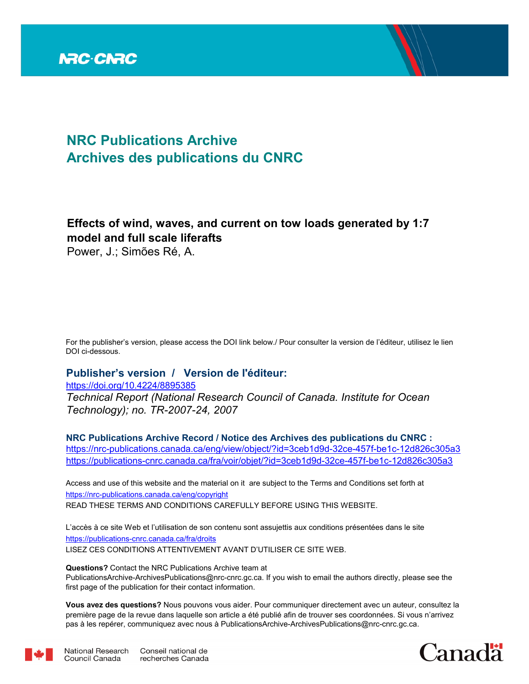

# **NRC Publications Archive Archives des publications du CNRC**

# **Effects of wind, waves, and current on tow loads generated by 1:7 model and full scale liferafts**

Power, J.; Simões Ré, A.

For the publisher's version, please access the DOI link below./ Pour consulter la version de l'éditeur, utilisez le lien DOI ci-dessous.

# **Publisher's version / Version de l'éditeur:**

*Technical Report (National Research Council of Canada. Institute for Ocean Technology); no. TR-2007-24, 2007* https://doi.org/10.4224/8895385

**NRC Publications Archive Record / Notice des Archives des publications du CNRC :** https://nrc-publications.canada.ca/eng/view/object/?id=3ceb1d9d-32ce-457f-be1c-12d826c305a3 https://publications-cnrc.canada.ca/fra/voir/objet/?id=3ceb1d9d-32ce-457f-be1c-12d826c305a3

READ THESE TERMS AND CONDITIONS CAREFULLY BEFORE USING THIS WEBSITE. https://nrc-publications.canada.ca/eng/copyright Access and use of this website and the material on it are subject to the Terms and Conditions set forth at

https://publications-cnrc.canada.ca/fra/droits L'accès à ce site Web et l'utilisation de son contenu sont assujettis aux conditions présentées dans le site LISEZ CES CONDITIONS ATTENTIVEMENT AVANT D'UTILISER CE SITE WEB.

**Questions?** Contact the NRC Publications Archive team at

PublicationsArchive-ArchivesPublications@nrc-cnrc.gc.ca. If you wish to email the authors directly, please see the first page of the publication for their contact information.

**Vous avez des questions?** Nous pouvons vous aider. Pour communiquer directement avec un auteur, consultez la première page de la revue dans laquelle son article a été publié afin de trouver ses coordonnées. Si vous n'arrivez pas à les repérer, communiquez avec nous à PublicationsArchive-ArchivesPublications@nrc-cnrc.gc.ca.



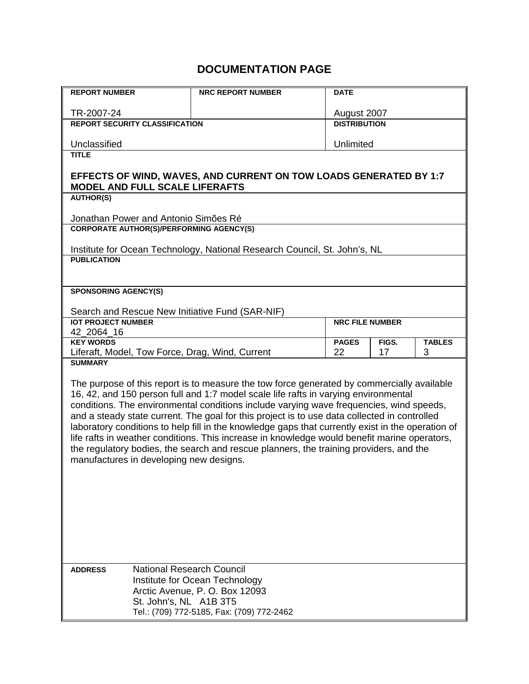# **DOCUMENTATION PAGE**

| <b>REPORT NUMBER</b>                                                                                                                                                                                                                                                                                                                                                                                                                                                                                                                                                                                                                                                                                                   | <b>NRC REPORT NUMBER</b>                                                  | <b>DATE</b>            |                     |   |  |
|------------------------------------------------------------------------------------------------------------------------------------------------------------------------------------------------------------------------------------------------------------------------------------------------------------------------------------------------------------------------------------------------------------------------------------------------------------------------------------------------------------------------------------------------------------------------------------------------------------------------------------------------------------------------------------------------------------------------|---------------------------------------------------------------------------|------------------------|---------------------|---|--|
| TR-2007-24                                                                                                                                                                                                                                                                                                                                                                                                                                                                                                                                                                                                                                                                                                             |                                                                           | August 2007            |                     |   |  |
| <b>REPORT SECURITY CLASSIFICATION</b>                                                                                                                                                                                                                                                                                                                                                                                                                                                                                                                                                                                                                                                                                  |                                                                           |                        | <b>DISTRIBUTION</b> |   |  |
| Unclassified                                                                                                                                                                                                                                                                                                                                                                                                                                                                                                                                                                                                                                                                                                           |                                                                           | Unlimited              |                     |   |  |
| <b>TITLE</b>                                                                                                                                                                                                                                                                                                                                                                                                                                                                                                                                                                                                                                                                                                           |                                                                           |                        |                     |   |  |
|                                                                                                                                                                                                                                                                                                                                                                                                                                                                                                                                                                                                                                                                                                                        |                                                                           |                        |                     |   |  |
|                                                                                                                                                                                                                                                                                                                                                                                                                                                                                                                                                                                                                                                                                                                        | EFFECTS OF WIND, WAVES, AND CURRENT ON TOW LOADS GENERATED BY 1:7         |                        |                     |   |  |
| <b>MODEL AND FULL SCALE LIFERAFTS</b><br><b>AUTHOR(S)</b>                                                                                                                                                                                                                                                                                                                                                                                                                                                                                                                                                                                                                                                              |                                                                           |                        |                     |   |  |
|                                                                                                                                                                                                                                                                                                                                                                                                                                                                                                                                                                                                                                                                                                                        |                                                                           |                        |                     |   |  |
| Jonathan Power and Antonio Simões Ré                                                                                                                                                                                                                                                                                                                                                                                                                                                                                                                                                                                                                                                                                   |                                                                           |                        |                     |   |  |
| <b>CORPORATE AUTHOR(S)/PERFORMING AGENCY(S)</b>                                                                                                                                                                                                                                                                                                                                                                                                                                                                                                                                                                                                                                                                        |                                                                           |                        |                     |   |  |
|                                                                                                                                                                                                                                                                                                                                                                                                                                                                                                                                                                                                                                                                                                                        | Institute for Ocean Technology, National Research Council, St. John's, NL |                        |                     |   |  |
| <b>PUBLICATION</b>                                                                                                                                                                                                                                                                                                                                                                                                                                                                                                                                                                                                                                                                                                     |                                                                           |                        |                     |   |  |
|                                                                                                                                                                                                                                                                                                                                                                                                                                                                                                                                                                                                                                                                                                                        |                                                                           |                        |                     |   |  |
| <b>SPONSORING AGENCY(S)</b>                                                                                                                                                                                                                                                                                                                                                                                                                                                                                                                                                                                                                                                                                            |                                                                           |                        |                     |   |  |
|                                                                                                                                                                                                                                                                                                                                                                                                                                                                                                                                                                                                                                                                                                                        |                                                                           |                        |                     |   |  |
| Search and Rescue New Initiative Fund (SAR-NIF)<br><b>IOT PROJECT NUMBER</b>                                                                                                                                                                                                                                                                                                                                                                                                                                                                                                                                                                                                                                           |                                                                           | <b>NRC FILE NUMBER</b> |                     |   |  |
| 42_2064_16                                                                                                                                                                                                                                                                                                                                                                                                                                                                                                                                                                                                                                                                                                             |                                                                           |                        |                     |   |  |
| <b>KEY WORDS</b><br><b>PAGES</b><br>FIGS.                                                                                                                                                                                                                                                                                                                                                                                                                                                                                                                                                                                                                                                                              |                                                                           |                        | <b>TABLES</b>       |   |  |
| Liferaft, Model, Tow Force, Drag, Wind, Current<br><b>SUMMARY</b>                                                                                                                                                                                                                                                                                                                                                                                                                                                                                                                                                                                                                                                      |                                                                           | 22                     | 17                  | 3 |  |
| The purpose of this report is to measure the tow force generated by commercially available<br>16, 42, and 150 person full and 1:7 model scale life rafts in varying environmental<br>conditions. The environmental conditions include varying wave frequencies, wind speeds,<br>and a steady state current. The goal for this project is to use data collected in controlled<br>laboratory conditions to help fill in the knowledge gaps that currently exist in the operation of<br>life rafts in weather conditions. This increase in knowledge would benefit marine operators,<br>the regulatory bodies, the search and rescue planners, the training providers, and the<br>manufactures in developing new designs. |                                                                           |                        |                     |   |  |
| <b>ADDRESS</b>                                                                                                                                                                                                                                                                                                                                                                                                                                                                                                                                                                                                                                                                                                         | <b>National Research Council</b>                                          |                        |                     |   |  |
| Institute for Ocean Technology<br>Arctic Avenue, P. O. Box 12093                                                                                                                                                                                                                                                                                                                                                                                                                                                                                                                                                                                                                                                       |                                                                           |                        |                     |   |  |
| St. John's, NL A1B 3T5                                                                                                                                                                                                                                                                                                                                                                                                                                                                                                                                                                                                                                                                                                 |                                                                           |                        |                     |   |  |
|                                                                                                                                                                                                                                                                                                                                                                                                                                                                                                                                                                                                                                                                                                                        | Tel.: (709) 772-5185, Fax: (709) 772-2462                                 |                        |                     |   |  |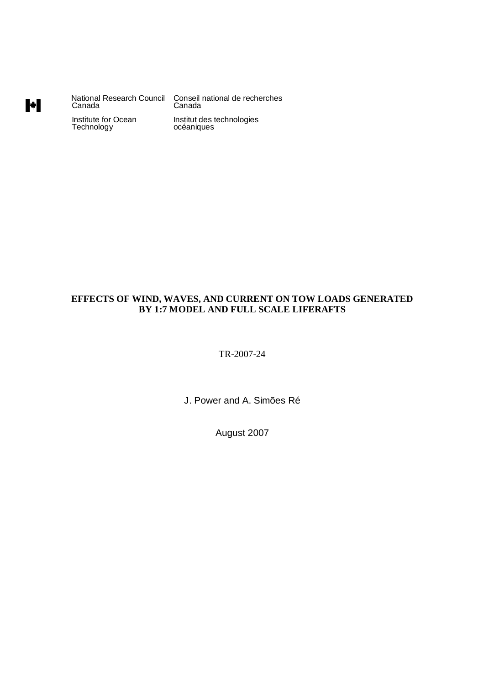National Research Council<br>Canada Institute for Ocean<br>Technology

 $\blacktriangleright$ 

Conseil national de recherches<br>Canada Institut des technologies<br>océaniques

# **EFFECTS OF WIND, WAVES, AND CURRENT ON TOW LOADS GENERATED BY 1:7 MODEL AND FULL SCALE LIFERAFTS**

TR-2007-24

J. Power and A. Simões Ré

August 2007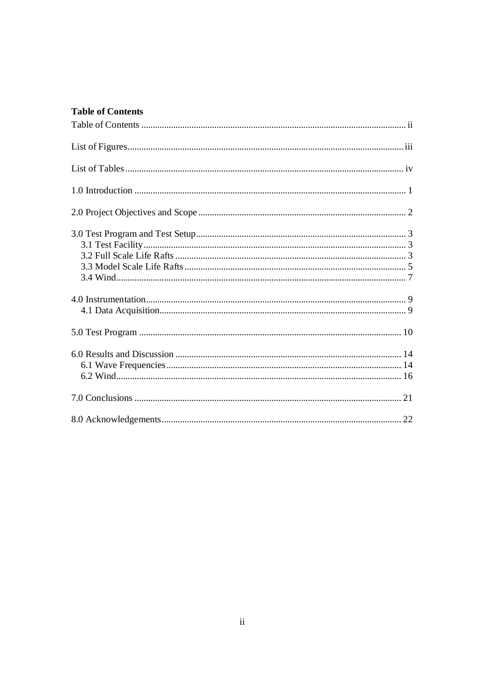# **Table of Contents**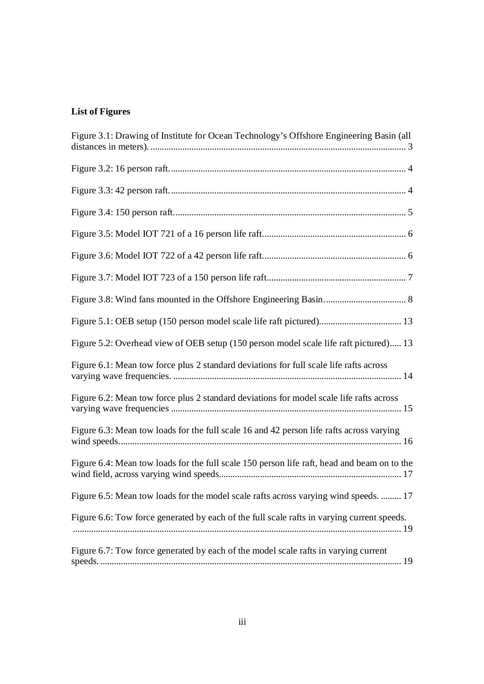# **List of Figures**

| Figure 3.1: Drawing of Institute for Ocean Technology's Offshore Engineering Basin (all     |
|---------------------------------------------------------------------------------------------|
|                                                                                             |
|                                                                                             |
|                                                                                             |
|                                                                                             |
|                                                                                             |
|                                                                                             |
|                                                                                             |
|                                                                                             |
| Figure 5.2: Overhead view of OEB setup (150 person model scale life raft pictured) 13       |
| Figure 6.1: Mean tow force plus 2 standard deviations for full scale life rafts across      |
| Figure 6.2: Mean tow force plus 2 standard deviations for model scale life rafts across     |
| Figure 6.3: Mean tow loads for the full scale 16 and 42 person life rafts across varying    |
| Figure 6.4: Mean tow loads for the full scale 150 person life raft, head and beam on to the |
| Figure 6.5: Mean tow loads for the model scale rafts across varying wind speeds.  17        |
| Figure 6.6: Tow force generated by each of the full scale rafts in varying current speeds.  |
| Figure 6.7: Tow force generated by each of the model scale rafts in varying current         |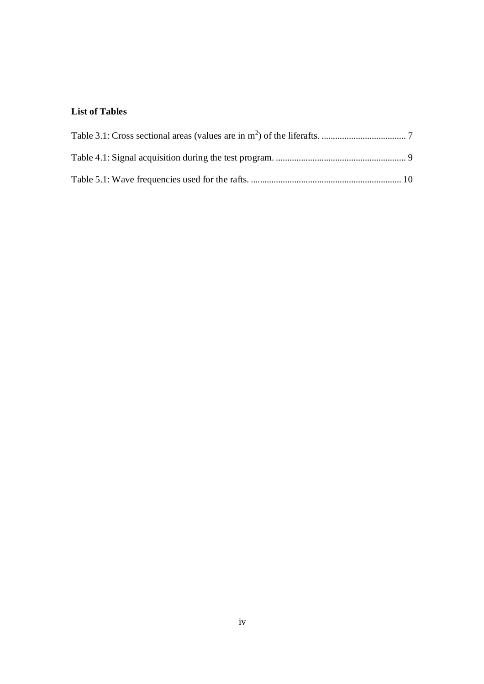# **List of Tables**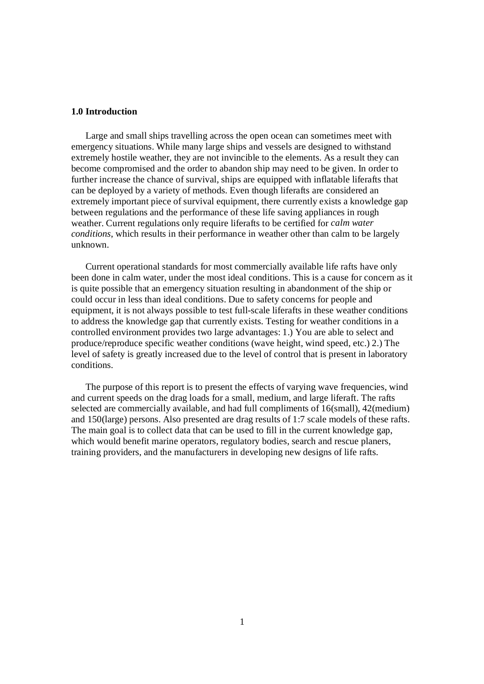## **1.0 Introduction**

Large and small ships travelling across the open ocean can sometimes meet with emergency situations. While many large ships and vessels are designed to withstand extremely hostile weather, they are not invincible to the elements. As a result they can become compromised and the order to abandon ship may need to be given. In order to further increase the chance of survival, ships are equipped with inflatable liferafts that can be deployed by a variety of methods. Even though liferafts are considered an extremely important piece of survival equipment, there currently exists a knowledge gap between regulations and the performance of these life saving appliances in rough weather. Current regulations only require liferafts to be certified for *calm water conditions*, which results in their performance in weather other than calm to be largely unknown.

Current operational standards for most commercially available life rafts have only been done in calm water, under the most ideal conditions. This is a cause for concern as it is quite possible that an emergency situation resulting in abandonment of the ship or could occur in less than ideal conditions. Due to safety concerns for people and equipment, it is not always possible to test full-scale liferafts in these weather conditions to address the knowledge gap that currently exists. Testing for weather conditions in a controlled environment provides two large advantages: 1.) You are able to select and produce/reproduce specific weather conditions (wave height, wind speed, etc.) 2.) The level of safety is greatly increased due to the level of control that is present in laboratory conditions.

The purpose of this report is to present the effects of varying wave frequencies, wind and current speeds on the drag loads for a small, medium, and large liferaft. The rafts selected are commercially available, and had full compliments of 16(small), 42(medium) and 150(large) persons. Also presented are drag results of 1:7 scale models of these rafts. The main goal is to collect data that can be used to fill in the current knowledge gap, which would benefit marine operators, regulatory bodies, search and rescue planers, training providers, and the manufacturers in developing new designs of life rafts.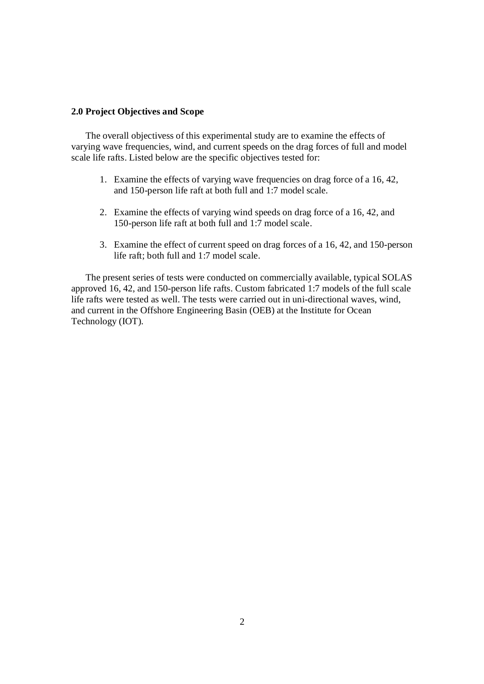### **2.0 Project Objectives and Scope**

The overall objectivess of this experimental study are to examine the effects of varying wave frequencies, wind, and current speeds on the drag forces of full and model scale life rafts. Listed below are the specific objectives tested for:

- 1. Examine the effects of varying wave frequencies on drag force of a 16, 42, and 150-person life raft at both full and 1:7 model scale.
- 2. Examine the effects of varying wind speeds on drag force of a 16, 42, and 150-person life raft at both full and 1:7 model scale.
- 3. Examine the effect of current speed on drag forces of a 16, 42, and 150-person life raft; both full and 1:7 model scale.

The present series of tests were conducted on commercially available, typical SOLAS approved 16, 42, and 150-person life rafts. Custom fabricated 1:7 models of the full scale life rafts were tested as well. The tests were carried out in uni-directional waves, wind, and current in the Offshore Engineering Basin (OEB) at the Institute for Ocean Technology (IOT).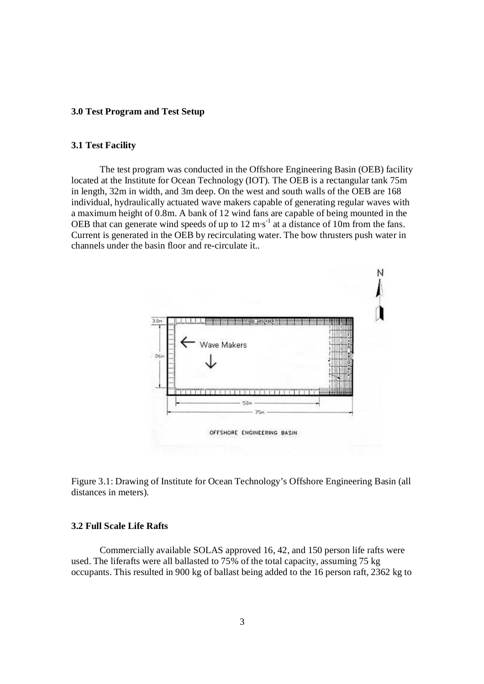## **3.0 Test Program and Test Setup**

#### **3.1 Test Facility**

The test program was conducted in the Offshore Engineering Basin (OEB) facility located at the Institute for Ocean Technology (IOT). The OEB is a rectangular tank 75m in length, 32m in width, and 3m deep. On the west and south walls of the OEB are 168 individual, hydraulically actuated wave makers capable of generating regular waves with a maximum height of 0.8m. A bank of 12 wind fans are capable of being mounted in the OEB that can generate wind speeds of up to  $12 \text{ m} \cdot \text{s}^{-1}$  at a distance of 10m from the fans. Current is generated in the OEB by recirculating water. The bow thrusters push water in channels under the basin floor and re-circulate it..





#### **3.2 Full Scale Life Rafts**

Commercially available SOLAS approved 16, 42, and 150 person life rafts were used. The liferafts were all ballasted to 75% of the total capacity, assuming 75 kg occupants. This resulted in 900 kg of ballast being added to the 16 person raft, 2362 kg to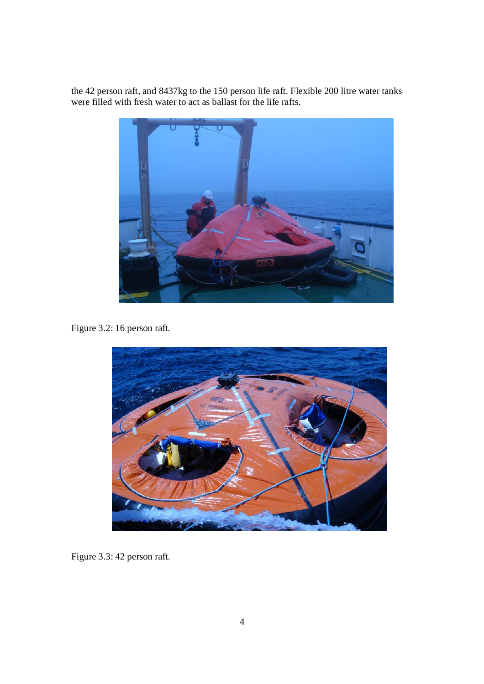the 42 person raft, and 8437kg to the 150 person life raft. Flexible 200 litre water tanks were filled with fresh water to act as ballast for the life rafts.



Figure 3.2: 16 person raft.



Figure 3.3: 42 person raft.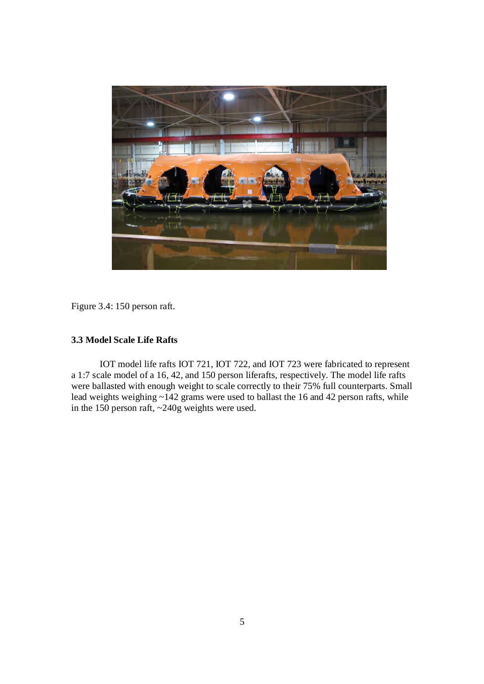

Figure 3.4: 150 person raft.

## **3.3 Model Scale Life Rafts**

IOT model life rafts IOT 721, IOT 722, and IOT 723 were fabricated to represent a 1:7 scale model of a 16, 42, and 150 person liferafts, respectively. The model life rafts were ballasted with enough weight to scale correctly to their 75% full counterparts. Small lead weights weighing ~142 grams were used to ballast the 16 and 42 person rafts, while in the 150 person raft, ~240g weights were used.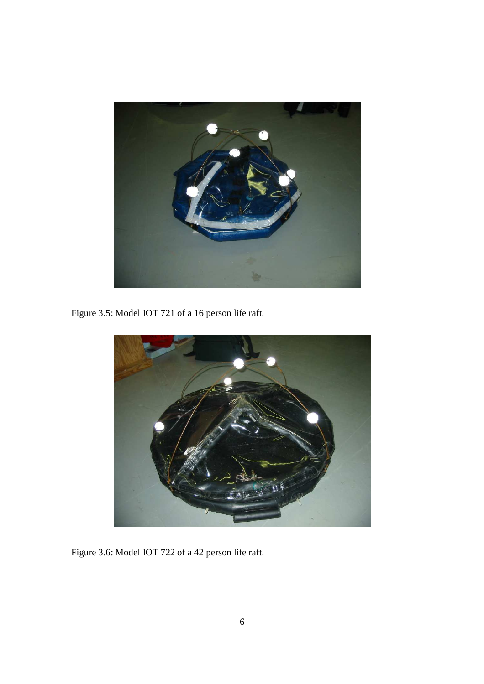

Figure 3.5: Model IOT 721 of a 16 person life raft.



Figure 3.6: Model IOT 722 of a 42 person life raft.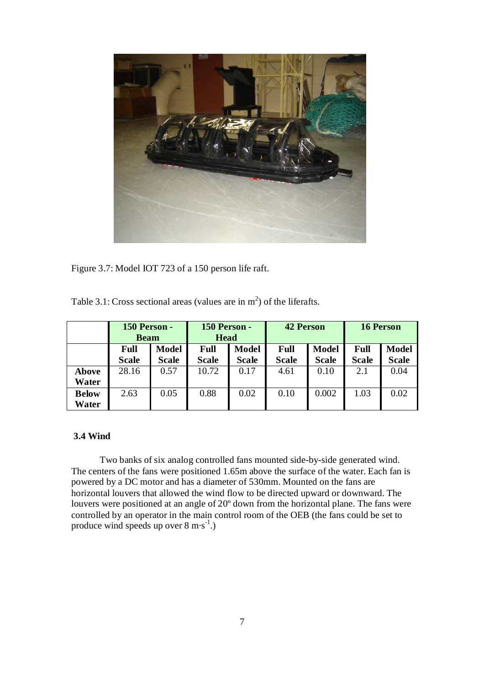

Figure 3.7: Model IOT 723 of a 150 person life raft.

| Table 3.1: Cross sectional areas (values are in $m2$ ) of the liferafts. |  |  |  |  |
|--------------------------------------------------------------------------|--|--|--|--|
|                                                                          |  |  |  |  |

|                       | <b>150 Person -</b><br><b>Beam</b> |                              | 150 Person -<br><b>Head</b> |                              | 42 Person                   |                              |                      | <b>16 Person</b>             |
|-----------------------|------------------------------------|------------------------------|-----------------------------|------------------------------|-----------------------------|------------------------------|----------------------|------------------------------|
|                       | Full<br><b>Scale</b>               | <b>Model</b><br><b>Scale</b> | <b>Full</b><br><b>Scale</b> | <b>Model</b><br><b>Scale</b> | <b>Full</b><br><b>Scale</b> | <b>Model</b><br><b>Scale</b> | Full<br><b>Scale</b> | <b>Model</b><br><b>Scale</b> |
| Above<br>Water        | 28.16                              | 0.57                         | 10.72                       | 0.17                         | 4.61                        | 0.10                         | 2.1                  | 0.04                         |
| <b>Below</b><br>Water | 2.63                               | 0.05                         | 0.88                        | 0.02                         | 0.10                        | 0.002                        | 1.03                 | 0.02                         |

## **3.4 Wind**

Two banks of six analog controlled fans mounted side-by-side generated wind. The centers of the fans were positioned 1.65m above the surface of the water. Each fan is powered by a DC motor and has a diameter of 530mm. Mounted on the fans are horizontal louvers that allowed the wind flow to be directed upward or downward. The louvers were positioned at an angle of 20<sup>°</sup> down from the horizontal plane. The fans were controlled by an operator in the main control room of the OEB (the fans could be set to produce wind speeds up over  $8 \text{ m} \cdot \text{s}^{-1}$ .)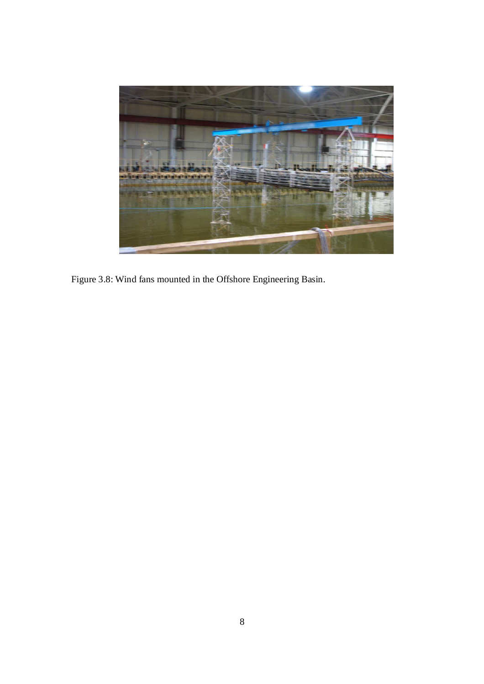

Figure 3.8: Wind fans mounted in the Offshore Engineering Basin.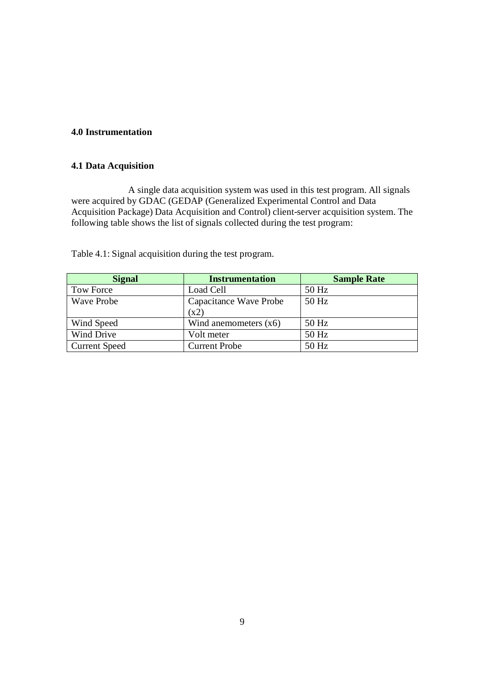# **4.0 Instrumentation**

# **4.1 Data Acquisition**

 A single data acquisition system was used in this test program. All signals were acquired by GDAC (GEDAP (Generalized Experimental Control and Data Acquisition Package) Data Acquisition and Control) client-server acquisition system. The following table shows the list of signals collected during the test program:

Table 4.1: Signal acquisition during the test program.

| <b>Signal</b>        | <b>Instrumentation</b>  | <b>Sample Rate</b> |  |
|----------------------|-------------------------|--------------------|--|
| Tow Force            | Load Cell               | 50 Hz              |  |
| <b>Wave Probe</b>    | Capacitance Wave Probe  | 50 Hz              |  |
|                      | (x2)                    |                    |  |
| Wind Speed           | Wind anemometers $(x6)$ | 50 Hz              |  |
| Wind Drive           | Volt meter              | 50 Hz              |  |
| <b>Current Speed</b> | <b>Current Probe</b>    | 50 Hz              |  |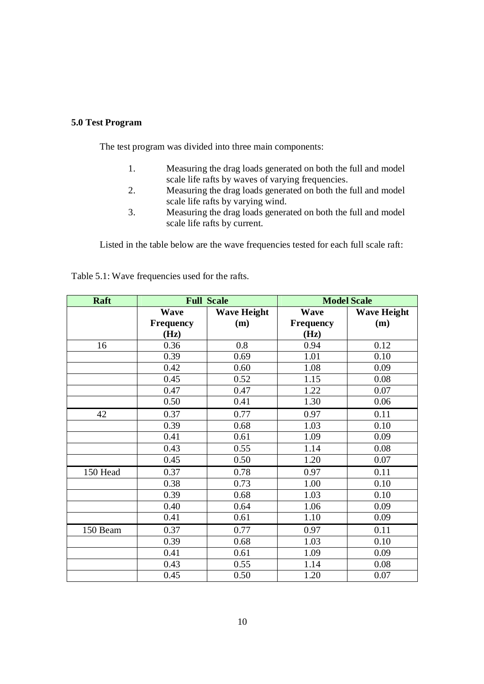## **5.0 Test Program**

The test program was divided into three main components:

- 1. Measuring the drag loads generated on both the full and model scale life rafts by waves of varying frequencies.
- 2. Measuring the drag loads generated on both the full and model scale life rafts by varying wind.
- 3. Measuring the drag loads generated on both the full and model scale life rafts by current.

Listed in the table below are the wave frequencies tested for each full scale raft:

| Raft     | <b>Full Scale</b> |                    | <b>Model Scale</b> |                    |  |
|----------|-------------------|--------------------|--------------------|--------------------|--|
|          | <b>Wave</b>       | <b>Wave Height</b> | <b>Wave</b>        | <b>Wave Height</b> |  |
|          | <b>Frequency</b>  | (m)                | <b>Frequency</b>   | (m)                |  |
|          | (Hz)              |                    | (Hz)               |                    |  |
| 16       | 0.36              | 0.8                | 0.94               | 0.12               |  |
|          | 0.39              | 0.69               | 1.01               | 0.10               |  |
|          | 0.42              | 0.60               | 1.08               | 0.09               |  |
|          | 0.45              | 0.52               | 1.15               | 0.08               |  |
|          | 0.47              | 0.47               | 1.22               | 0.07               |  |
|          | 0.50              | 0.41               | 1.30               | 0.06               |  |
| 42       | 0.37              | 0.77               | 0.97               | 0.11               |  |
|          | 0.39              | 0.68               | 1.03               | 0.10               |  |
|          | 0.41              | 0.61               | 1.09               | 0.09               |  |
|          | 0.43              | 0.55               | 1.14               | 0.08               |  |
|          | 0.45              | 0.50               | 1.20               | 0.07               |  |
| 150 Head | 0.37              | 0.78               | 0.97               | 0.11               |  |
|          | 0.38              | 0.73               | 1.00               | 0.10               |  |
|          | 0.39              | 0.68               | 1.03               | 0.10               |  |
|          | 0.40              | 0.64               | 1.06               | 0.09               |  |
|          | 0.41              | 0.61               | 1.10               | 0.09               |  |
| 150 Beam | 0.37              | 0.77               | 0.97               | 0.11               |  |
|          | 0.39              | 0.68               | 1.03               | 0.10               |  |
|          | 0.41              | 0.61               | 1.09               | 0.09               |  |
|          | 0.43              | 0.55               | 1.14               | 0.08               |  |
|          | 0.45              | 0.50               | 1.20               | 0.07               |  |

Table 5.1: Wave frequencies used for the rafts.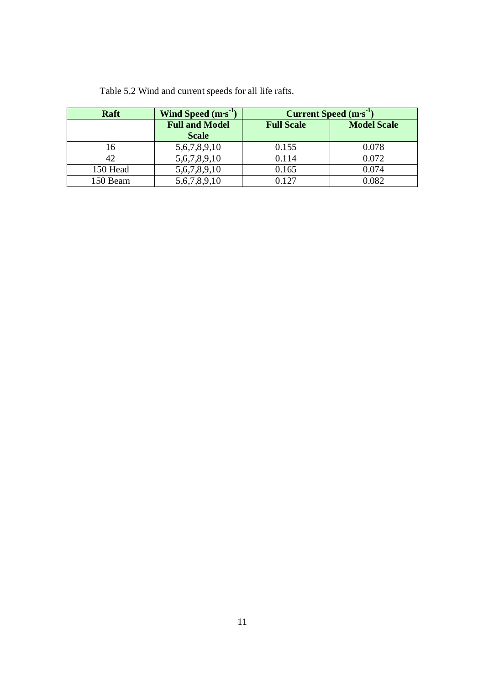| Raft     | Wind Speed $(m\cdot s^{-1})$          | Current Speed $(m\cdot s^{-1})$ |                    |  |
|----------|---------------------------------------|---------------------------------|--------------------|--|
|          | <b>Full and Model</b><br><b>Scale</b> | <b>Full Scale</b>               | <b>Model Scale</b> |  |
| 16       | 5,6,7,8,9,10                          | 0.155                           | 0.078              |  |
|          | 5,6,7,8,9,10                          | 0.114                           | 0.072              |  |
| 150 Head | 5,6,7,8,9,10                          | 0.165                           | 0.074              |  |
| 150 Beam | 5,6,7,8,9,10                          | 0.127                           | 0.082              |  |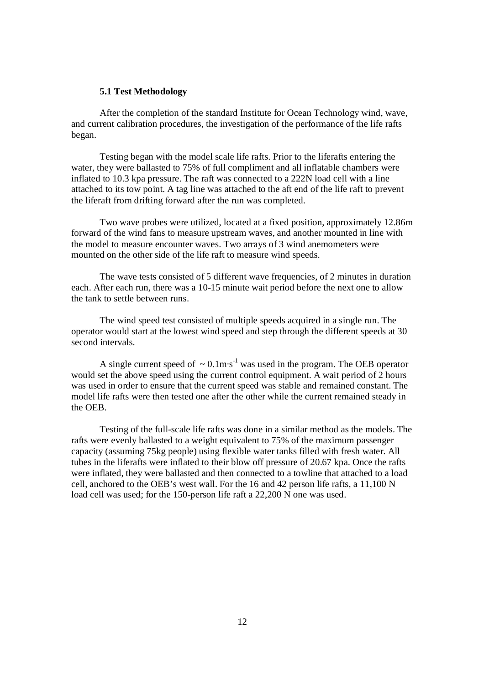#### **5.1 Test Methodology**

After the completion of the standard Institute for Ocean Technology wind, wave, and current calibration procedures, the investigation of the performance of the life rafts began.

Testing began with the model scale life rafts. Prior to the liferafts entering the water, they were ballasted to 75% of full compliment and all inflatable chambers were inflated to 10.3 kpa pressure. The raft was connected to a 222N load cell with a line attached to its tow point. A tag line was attached to the aft end of the life raft to prevent the liferaft from drifting forward after the run was completed.

Two wave probes were utilized, located at a fixed position, approximately 12.86m forward of the wind fans to measure upstream waves, and another mounted in line with the model to measure encounter waves. Two arrays of 3 wind anemometers were mounted on the other side of the life raft to measure wind speeds.

The wave tests consisted of 5 different wave frequencies, of 2 minutes in duration each. After each run, there was a 10-15 minute wait period before the next one to allow the tank to settle between runs.

The wind speed test consisted of multiple speeds acquired in a single run. The operator would start at the lowest wind speed and step through the different speeds at 30 second intervals.

A single current speed of  $\sim 0.1 \text{m} \cdot \text{s}^{-1}$  was used in the program. The OEB operator would set the above speed using the current control equipment. A wait period of 2 hours was used in order to ensure that the current speed was stable and remained constant. The model life rafts were then tested one after the other while the current remained steady in the OEB.

Testing of the full-scale life rafts was done in a similar method as the models. The rafts were evenly ballasted to a weight equivalent to 75% of the maximum passenger capacity (assuming 75kg people) using flexible water tanks filled with fresh water. All tubes in the liferafts were inflated to their blow off pressure of 20.67 kpa. Once the rafts were inflated, they were ballasted and then connected to a towline that attached to a load cell, anchored to the OEB's west wall. For the 16 and 42 person life rafts, a 11,100 N load cell was used; for the 150-person life raft a 22,200 N one was used.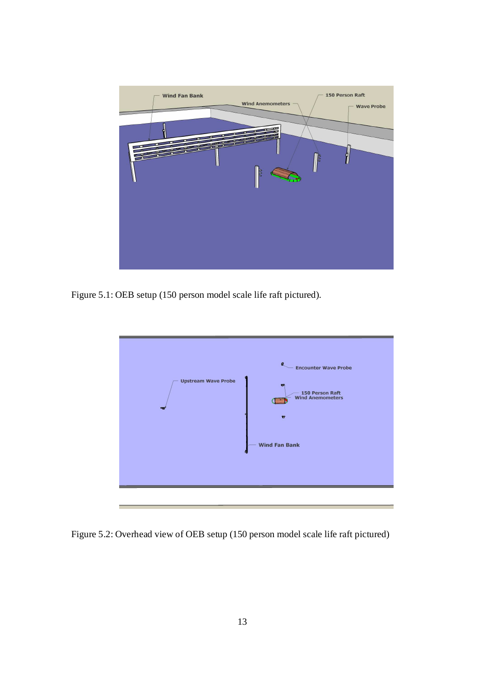

Figure 5.1: OEB setup (150 person model scale life raft pictured).



Figure 5.2: Overhead view of OEB setup (150 person model scale life raft pictured)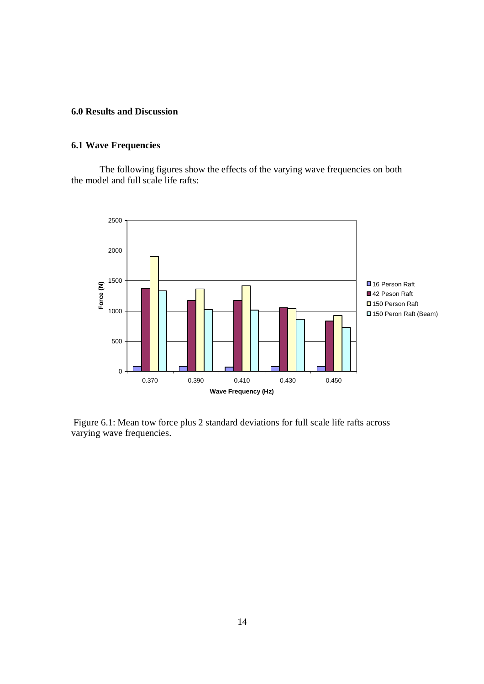## **6.0 Results and Discussion**

# **6.1 Wave Frequencies**

The following figures show the effects of the varying wave frequencies on both the model and full scale life rafts:



 Figure 6.1: Mean tow force plus 2 standard deviations for full scale life rafts across varying wave frequencies.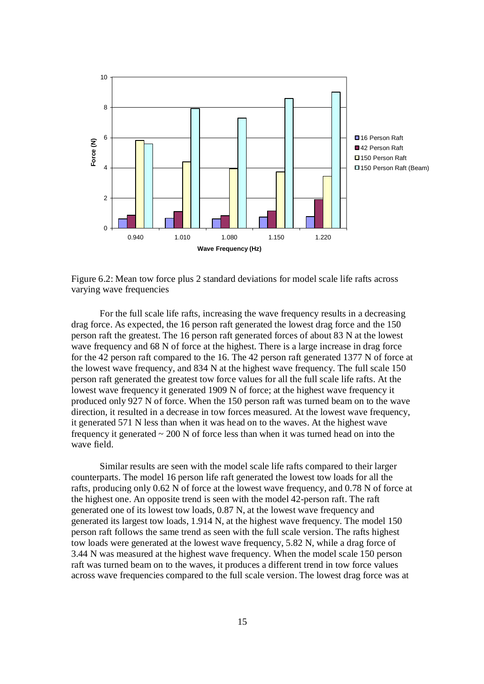

Figure 6.2: Mean tow force plus 2 standard deviations for model scale life rafts across varying wave frequencies

 For the full scale life rafts, increasing the wave frequency results in a decreasing drag force. As expected, the 16 person raft generated the lowest drag force and the 150 person raft the greatest. The 16 person raft generated forces of about 83 N at the lowest wave frequency and 68 N of force at the highest. There is a large increase in drag force for the 42 person raft compared to the 16. The 42 person raft generated 1377 N of force at the lowest wave frequency, and 834 N at the highest wave frequency. The full scale 150 person raft generated the greatest tow force values for all the full scale life rafts. At the lowest wave frequency it generated 1909 N of force; at the highest wave frequency it produced only 927 N of force. When the 150 person raft was turned beam on to the wave direction, it resulted in a decrease in tow forces measured. At the lowest wave frequency, it generated 571 N less than when it was head on to the waves. At the highest wave frequency it generated  $\sim 200$  N of force less than when it was turned head on into the wave field.

 Similar results are seen with the model scale life rafts compared to their larger counterparts. The model 16 person life raft generated the lowest tow loads for all the rafts, producing only 0.62 N of force at the lowest wave frequency, and 0.78 N of force at the highest one. An opposite trend is seen with the model 42-person raft. The raft generated one of its lowest tow loads, 0.87 N, at the lowest wave frequency and generated its largest tow loads, 1.914 N, at the highest wave frequency. The model 150 person raft follows the same trend as seen with the full scale version. The rafts highest tow loads were generated at the lowest wave frequency, 5.82 N, while a drag force of 3.44 N was measured at the highest wave frequency. When the model scale 150 person raft was turned beam on to the waves, it produces a different trend in tow force values across wave frequencies compared to the full scale version. The lowest drag force was at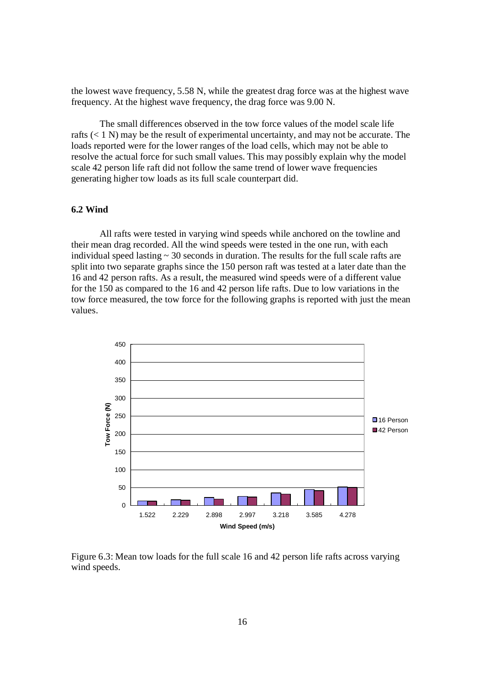the lowest wave frequency, 5.58 N, while the greatest drag force was at the highest wave frequency. At the highest wave frequency, the drag force was 9.00 N.

 The small differences observed in the tow force values of the model scale life rafts  $(< 1$  N) may be the result of experimental uncertainty, and may not be accurate. The loads reported were for the lower ranges of the load cells, which may not be able to resolve the actual force for such small values. This may possibly explain why the model scale 42 person life raft did not follow the same trend of lower wave frequencies generating higher tow loads as its full scale counterpart did.

### **6.2 Wind**

All rafts were tested in varying wind speeds while anchored on the towline and their mean drag recorded. All the wind speeds were tested in the one run, with each individual speed lasting  $\sim$  30 seconds in duration. The results for the full scale rafts are split into two separate graphs since the 150 person raft was tested at a later date than the 16 and 42 person rafts. As a result, the measured wind speeds were of a different value for the 150 as compared to the 16 and 42 person life rafts. Due to low variations in the tow force measured, the tow force for the following graphs is reported with just the mean values.



Figure 6.3: Mean tow loads for the full scale 16 and 42 person life rafts across varying wind speeds.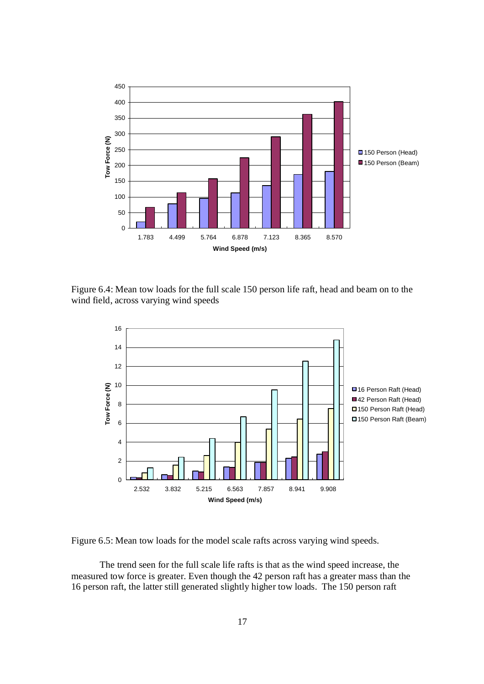

Figure 6.4: Mean tow loads for the full scale 150 person life raft, head and beam on to the wind field, across varying wind speeds



Figure 6.5: Mean tow loads for the model scale rafts across varying wind speeds.

The trend seen for the full scale life rafts is that as the wind speed increase, the measured tow force is greater. Even though the 42 person raft has a greater mass than the 16 person raft, the latter still generated slightly higher tow loads. The 150 person raft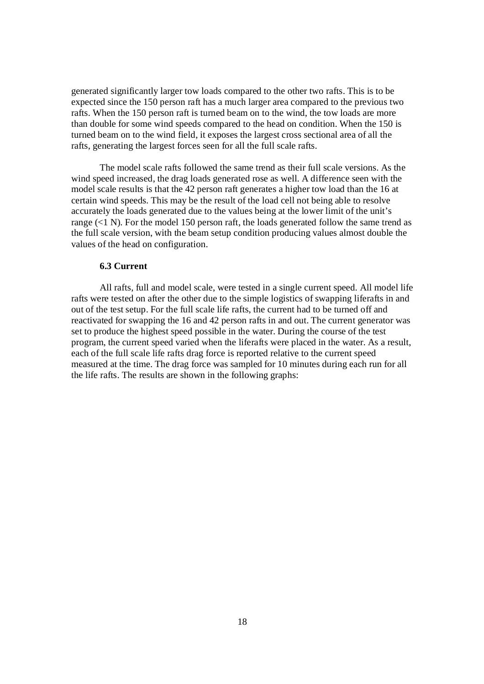generated significantly larger tow loads compared to the other two rafts. This is to be expected since the 150 person raft has a much larger area compared to the previous two rafts. When the 150 person raft is turned beam on to the wind, the tow loads are more than double for some wind speeds compared to the head on condition. When the 150 is turned beam on to the wind field, it exposes the largest cross sectional area of all the rafts, generating the largest forces seen for all the full scale rafts.

The model scale rafts followed the same trend as their full scale versions. As the wind speed increased, the drag loads generated rose as well. A difference seen with the model scale results is that the 42 person raft generates a higher tow load than the 16 at certain wind speeds. This may be the result of the load cell not being able to resolve accurately the loads generated due to the values being at the lower limit of the unit's range (<1 N). For the model 150 person raft, the loads generated follow the same trend as the full scale version, with the beam setup condition producing values almost double the values of the head on configuration.

#### **6.3 Current**

All rafts, full and model scale, were tested in a single current speed. All model life rafts were tested on after the other due to the simple logistics of swapping liferafts in and out of the test setup. For the full scale life rafts, the current had to be turned off and reactivated for swapping the 16 and 42 person rafts in and out. The current generator was set to produce the highest speed possible in the water. During the course of the test program, the current speed varied when the liferafts were placed in the water. As a result, each of the full scale life rafts drag force is reported relative to the current speed measured at the time. The drag force was sampled for 10 minutes during each run for all the life rafts. The results are shown in the following graphs: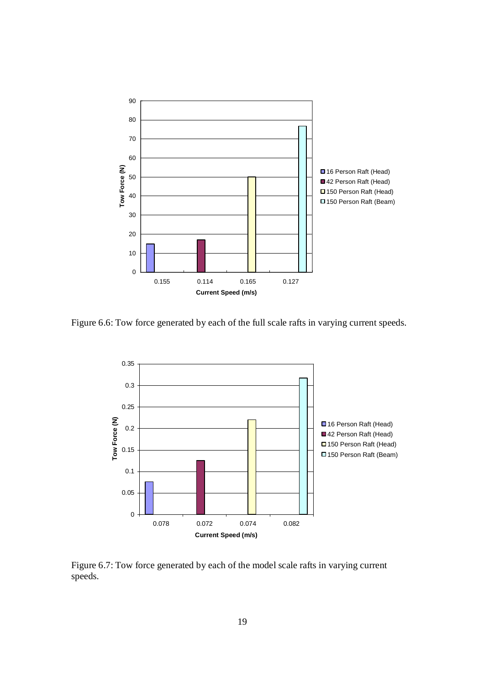

Figure 6.6: Tow force generated by each of the full scale rafts in varying current speeds.



Figure 6.7: Tow force generated by each of the model scale rafts in varying current speeds.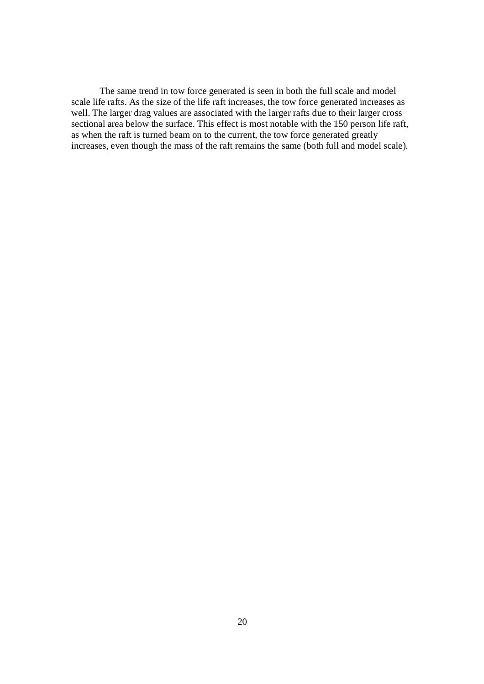The same trend in tow force generated is seen in both the full scale and model scale life rafts. As the size of the life raft increases, the tow force generated increases as well. The larger drag values are associated with the larger rafts due to their larger cross sectional area below the surface. This effect is most notable with the 150 person life raft, as when the raft is turned beam on to the current, the tow force generated greatly increases, even though the mass of the raft remains the same (both full and model scale).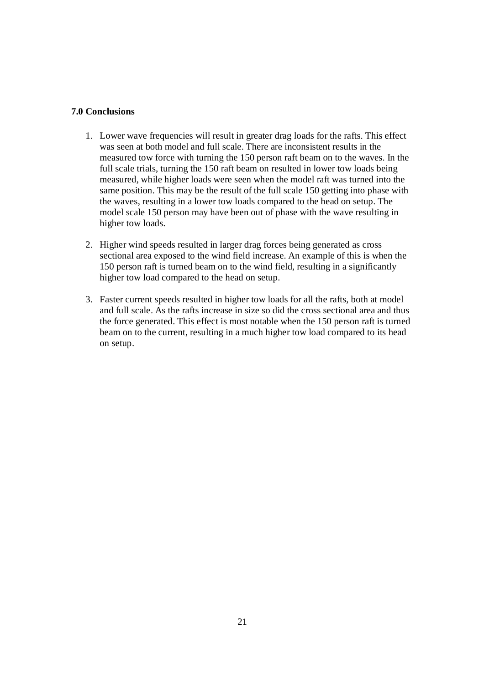## **7.0 Conclusions**

- 1. Lower wave frequencies will result in greater drag loads for the rafts. This effect was seen at both model and full scale. There are inconsistent results in the measured tow force with turning the 150 person raft beam on to the waves. In the full scale trials, turning the 150 raft beam on resulted in lower tow loads being measured, while higher loads were seen when the model raft was turned into the same position. This may be the result of the full scale 150 getting into phase with the waves, resulting in a lower tow loads compared to the head on setup. The model scale 150 person may have been out of phase with the wave resulting in higher tow loads.
- 2. Higher wind speeds resulted in larger drag forces being generated as cross sectional area exposed to the wind field increase. An example of this is when the 150 person raft is turned beam on to the wind field, resulting in a significantly higher tow load compared to the head on setup.
- 3. Faster current speeds resulted in higher tow loads for all the rafts, both at model and full scale. As the rafts increase in size so did the cross sectional area and thus the force generated. This effect is most notable when the 150 person raft is turned beam on to the current, resulting in a much higher tow load compared to its head on setup.